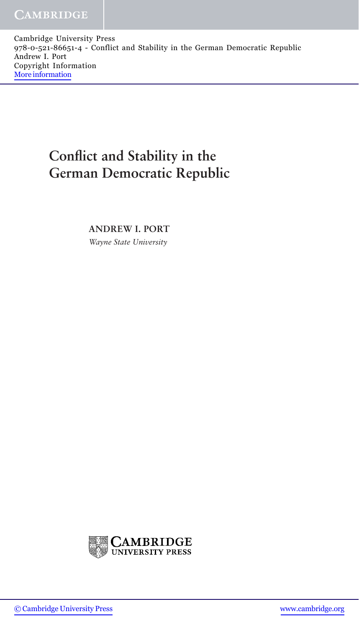Cambridge University Press 978-0-521-86651-4 - Conflict and Stability in the German Democratic Republic Andrew I. Port Copyright Information [More information](http://www.cambridge.org/0521866510)

## **Conflict and Stability in the German Democratic Republic**

**ANDREW I. PORT** *Wayne State University*